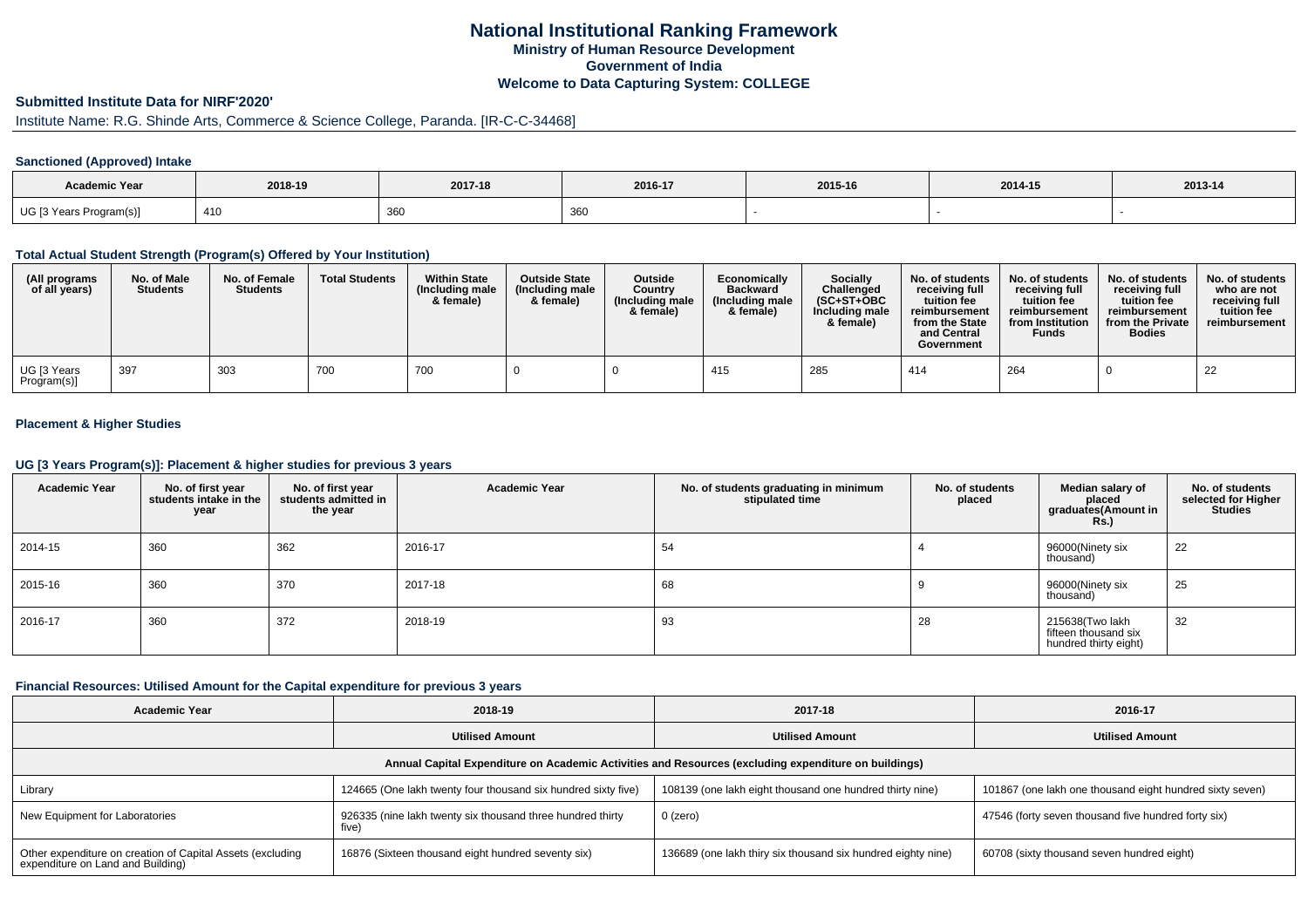## **National Institutional Ranking FrameworkMinistry of Human Resource DevelopmentGovernment of IndiaWelcome to Data Capturing System: COLLEGE**

#### **Submitted Institute Data for NIRF'2020'**

# Institute Name: R.G. Shinde Arts, Commerce & Science College, Paranda. [IR-C-C-34468]

#### **Sanctioned (Approved) Intake**

| Academic Year               | 2018-19              | 2017-18 | 2016-17               | 2015-16 | 2014-15 | 2013-14 |
|-----------------------------|----------------------|---------|-----------------------|---------|---------|---------|
| UG [3 Years F<br>Program(s) | $\sqrt{40}$<br>4 I L | 360     | $\sim$ $\sim$<br>ึงงง |         |         |         |

#### **Total Actual Student Strength (Program(s) Offered by Your Institution)**

| (All programs<br>of all years)          | No. of Male<br><b>Students</b> | No. of Female<br><b>Students</b> | <b>Total Students</b> | <b>Within State</b><br>(Including male<br>& female) | <b>Outside State</b><br>(Including male<br>& female) | <b>Outside</b><br>Country<br>(Including male<br>& female) | Economically<br><b>Backward</b><br>(Including male)<br>& female) | Socially<br>Challenged<br>$(SC+ST+OBC$<br>Including male<br>& female) | No. of students<br>receiving full<br>tuition fee<br>reimbursement<br>from the State<br>and Central<br>Government | No. of students<br>receiving full<br>tuition fee<br>reimbursement<br>from Institution<br><b>Funds</b> | No. of students<br>receiving full<br>tuition fee<br>reimbursement<br>from the Private<br><b>Bodies</b> | No. of students<br>who are not<br>receiving full<br>tuition fee<br>reimbursement |
|-----------------------------------------|--------------------------------|----------------------------------|-----------------------|-----------------------------------------------------|------------------------------------------------------|-----------------------------------------------------------|------------------------------------------------------------------|-----------------------------------------------------------------------|------------------------------------------------------------------------------------------------------------------|-------------------------------------------------------------------------------------------------------|--------------------------------------------------------------------------------------------------------|----------------------------------------------------------------------------------|
| <sup>l</sup> UG [3 Years<br>Program(s)] | 397                            | 303                              | 700                   | 700                                                 |                                                      |                                                           | 415                                                              | 285                                                                   | 414                                                                                                              | 264                                                                                                   |                                                                                                        | 22                                                                               |

#### **Placement & Higher Studies**

#### **UG [3 Years Program(s)]: Placement & higher studies for previous 3 years**

| <b>Academic Year</b> | No. of first year<br>students intake in the<br>year | No. of first year<br>students admitted in<br>the year | <b>Academic Year</b> | No. of students graduating in minimum<br>stipulated time | No. of students<br>placed | Median salary of<br>placed<br>graduates(Amount in<br><b>Rs.)</b> | No. of students<br>selected for Higher<br><b>Studies</b> |
|----------------------|-----------------------------------------------------|-------------------------------------------------------|----------------------|----------------------------------------------------------|---------------------------|------------------------------------------------------------------|----------------------------------------------------------|
| 2014-15              | 360                                                 | 362                                                   | 2016-17              | 54                                                       |                           | 96000(Ninety six<br>thousand)                                    | 22                                                       |
| 2015-16              | 360                                                 | 370                                                   | 2017-18              | 68                                                       |                           | 96000(Ninety six<br>thousand)                                    | 25                                                       |
| 2016-17              | 360                                                 | 372                                                   | 2018-19              | 93                                                       | 28                        | 215638(Two lakh<br>fifteen thousand six<br>hundred thirty eight) | 32                                                       |

#### **Financial Resources: Utilised Amount for the Capital expenditure for previous 3 years**

| <b>Academic Year</b>                                                                                 | 2018-19                                                             | 2017-18                                                      | 2016-17                                                  |  |  |  |  |  |  |  |
|------------------------------------------------------------------------------------------------------|---------------------------------------------------------------------|--------------------------------------------------------------|----------------------------------------------------------|--|--|--|--|--|--|--|
|                                                                                                      | <b>Utilised Amount</b>                                              | <b>Utilised Amount</b>                                       | <b>Utilised Amount</b>                                   |  |  |  |  |  |  |  |
| Annual Capital Expenditure on Academic Activities and Resources (excluding expenditure on buildings) |                                                                     |                                                              |                                                          |  |  |  |  |  |  |  |
| Library                                                                                              | 124665 (One lakh twenty four thousand six hundred sixty five)       | 108139 (one lakh eight thousand one hundred thirty nine)     | 101867 (one lakh one thousand eight hundred sixty seven) |  |  |  |  |  |  |  |
| New Equipment for Laboratories                                                                       | 926335 (nine lakh twenty six thousand three hundred thirty<br>five) | $0$ (zero)                                                   | 47546 (forty seven thousand five hundred forty six)      |  |  |  |  |  |  |  |
| Other expenditure on creation of Capital Assets (excluding<br>expenditure on Land and Building)      | 16876 (Sixteen thousand eight hundred seventy six)                  | 136689 (one lakh thiry six thousand six hundred eighty nine) | 60708 (sixty thousand seven hundred eight)               |  |  |  |  |  |  |  |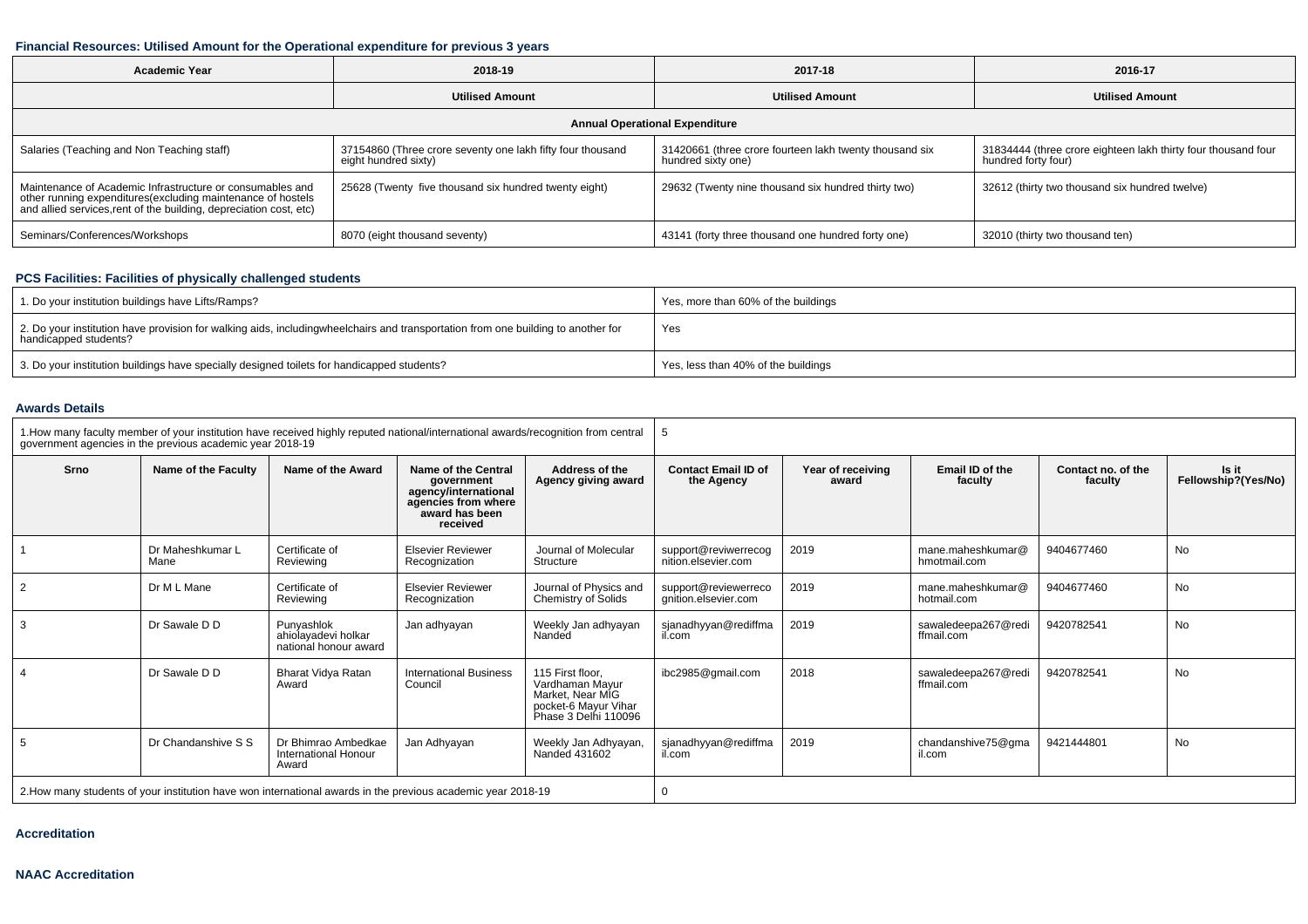#### **Financial Resources: Utilised Amount for the Operational expenditure for previous 3 years**

| <b>Academic Year</b>                                                                                                                                                                           | 2018-19                                                                            | 2017-18                                                                       | 2016-17                                                                              |  |  |  |  |  |  |
|------------------------------------------------------------------------------------------------------------------------------------------------------------------------------------------------|------------------------------------------------------------------------------------|-------------------------------------------------------------------------------|--------------------------------------------------------------------------------------|--|--|--|--|--|--|
|                                                                                                                                                                                                | <b>Utilised Amount</b>                                                             | <b>Utilised Amount</b>                                                        | <b>Utilised Amount</b>                                                               |  |  |  |  |  |  |
| <b>Annual Operational Expenditure</b>                                                                                                                                                          |                                                                                    |                                                                               |                                                                                      |  |  |  |  |  |  |
| Salaries (Teaching and Non Teaching staff)                                                                                                                                                     | 37154860 (Three crore seventy one lakh fifty four thousand<br>eight hundred sixty) | 31420661 (three crore fourteen lakh twenty thousand six<br>hundred sixty one) | 31834444 (three crore eighteen lakh thirty four thousand four<br>hundred forty four) |  |  |  |  |  |  |
| Maintenance of Academic Infrastructure or consumables and<br>other running expenditures(excluding maintenance of hostels<br>and allied services, rent of the building, depreciation cost, etc) | 25628 (Twenty five thousand six hundred twenty eight)                              | 29632 (Twenty nine thousand six hundred thirty two)                           | 32612 (thirty two thousand six hundred twelve)                                       |  |  |  |  |  |  |
| Seminars/Conferences/Workshops                                                                                                                                                                 | 8070 (eight thousand seventy)                                                      | 43141 (forty three thousand one hundred forty one)                            | 32010 (thirty two thousand ten)                                                      |  |  |  |  |  |  |

## **PCS Facilities: Facilities of physically challenged students**

| 1. Do your institution buildings have Lifts/Ramps?                                                                                                        | Yes, more than 60% of the buildings |
|-----------------------------------------------------------------------------------------------------------------------------------------------------------|-------------------------------------|
| 2. Do your institution have provision for walking aids, includingwheelchairs and transportation from one building to another for<br>handicapped students? | Yes                                 |
| 3. Do your institution buildings have specially designed toilets for handicapped students?                                                                | Yes, less than 40% of the buildings |

#### **Awards Details**

| 1. How many faculty member of your institution have received highly reputed national/international awards/recognition from central<br>government agencies in the previous academic year 2018-19 |                          |                                                                                                                                     |                                           |                                                                                                         | -5                                                                     |      |                                   |                               |                              |
|-------------------------------------------------------------------------------------------------------------------------------------------------------------------------------------------------|--------------------------|-------------------------------------------------------------------------------------------------------------------------------------|-------------------------------------------|---------------------------------------------------------------------------------------------------------|------------------------------------------------------------------------|------|-----------------------------------|-------------------------------|------------------------------|
| Srno                                                                                                                                                                                            | Name of the Faculty      | Name of the Award<br>Name of the Central<br>government<br>agency/international<br>agencies from where<br>award has been<br>received |                                           | Address of the<br>Agency giving award                                                                   | <b>Contact Email ID of</b><br>Year of receiving<br>the Agency<br>award |      | Email ID of the<br>faculty        | Contact no. of the<br>faculty | Is it<br>Fellowship?(Yes/No) |
|                                                                                                                                                                                                 | Dr Maheshkumar L<br>Mane | Certificate of<br>Reviewing                                                                                                         | <b>Elsevier Reviewer</b><br>Recognization | Journal of Molecular<br>Structure                                                                       | support@reviwerrecog<br>nition.elsevier.com                            | 2019 | mane.maheshkumar@<br>hmotmail.com | 9404677460                    | <b>No</b>                    |
| $\overline{2}$                                                                                                                                                                                  | Dr M L Mane              | Certificate of<br>Reviewing                                                                                                         | <b>Elsevier Reviewer</b><br>Recognization | Journal of Physics and<br>Chemistry of Solids                                                           | support@reviewerreco<br>gnition.elsevier.com                           | 2019 | mane.maheshkumar@<br>hotmail.com  | 9404677460                    | No                           |
| 3                                                                                                                                                                                               | Dr Sawale D D            | Punyashlok<br>ahiolayadevi holkar<br>national honour award                                                                          | Jan adhyayan                              | Weekly Jan adhyayan<br>Nanded                                                                           | sjanadhyyan@rediffma<br>il.com                                         | 2019 | sawaledeepa267@redi<br>ffmail.com | 9420782541                    | <b>No</b>                    |
| $\overline{4}$                                                                                                                                                                                  | Dr Sawale D D            | Bharat Vidya Ratan<br>Award                                                                                                         | <b>International Business</b><br>Council  | 115 First floor.<br>Vardhaman Mayur<br>Market, Near MIG<br>pocket-6 Mayur Vihar<br>Phase 3 Delhi 110096 | ibc2985@gmail.com                                                      | 2018 | sawaledeepa267@redi<br>ffmail.com | 9420782541                    | <b>No</b>                    |
| 5                                                                                                                                                                                               | Dr Chandanshive S S      | Dr Bhimrao Ambedkae<br><b>International Honour</b><br>Award                                                                         | Jan Adhyayan                              | Weekly Jan Adhyayan,<br>Nanded 431602                                                                   | sjanadhyyan@rediffma<br>il.com                                         | 2019 | chandanshive75@gma<br>il.com      | 9421444801                    | <b>No</b>                    |
|                                                                                                                                                                                                 |                          | 2. How many students of your institution have won international awards in the previous academic year 2018-19                        |                                           |                                                                                                         |                                                                        |      |                                   |                               |                              |

**Accreditation**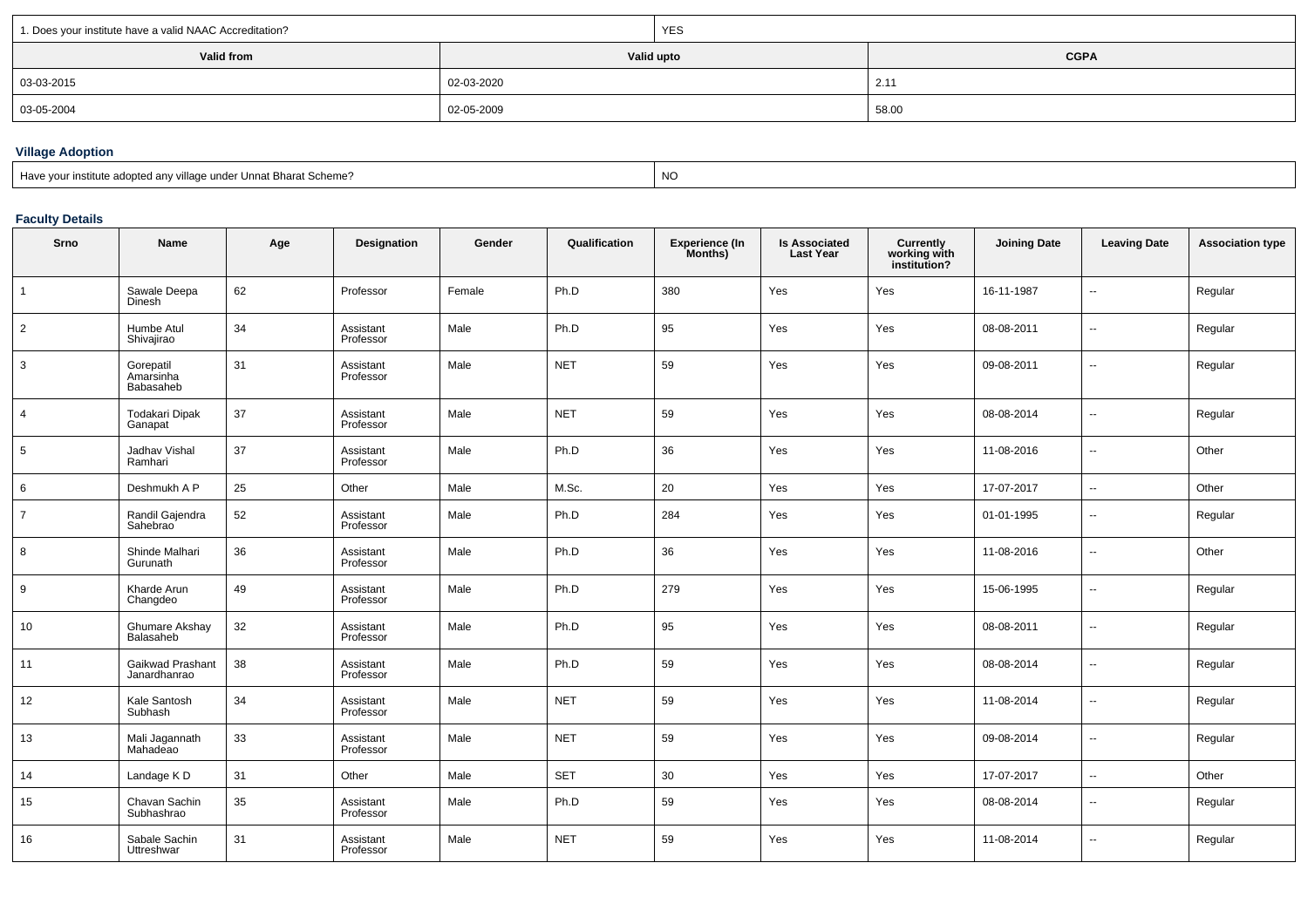| 1. Does your institute have a valid NAAC Accreditation? |            | <b>YES</b>                |       |  |  |
|---------------------------------------------------------|------------|---------------------------|-------|--|--|
| Valid from                                              |            | Valid upto<br><b>CGPA</b> |       |  |  |
| $  03-03-2015$                                          | 02-03-2020 |                           | 2.11  |  |  |
| 03-05-2004                                              | 02-05-2009 |                           | 58.00 |  |  |

# **Village Adoption**

| Have your institute adopted any village under Unnat Bharat Scheme? | <b>NC</b> |
|--------------------------------------------------------------------|-----------|
|--------------------------------------------------------------------|-----------|

### **Faculty Details**

| <b>Srno</b>    | Name                                | Age | Designation            | Gender | Qualification | <b>Experience (In</b><br>Months) | <b>Is Associated</b><br><b>Last Year</b> | <b>Currently<br/>working with<br/>institution?</b> | <b>Joining Date</b> | <b>Leaving Date</b>      | <b>Association type</b> |
|----------------|-------------------------------------|-----|------------------------|--------|---------------|----------------------------------|------------------------------------------|----------------------------------------------------|---------------------|--------------------------|-------------------------|
|                | Sawale Deepa<br><b>Dinesh</b>       | 62  | Professor              | Female | Ph.D          | 380                              | Yes                                      | Yes                                                | 16-11-1987          | $\sim$                   | Regular                 |
| $\overline{2}$ | Humbe Atul<br>Shivajirao            | 34  | Assistant<br>Professor | Male   | Ph.D          | 95                               | Yes                                      | Yes                                                | 08-08-2011          | $\sim$                   | Regular                 |
| 3              | Gorepatil<br>Amarsinha<br>Babasaheb | 31  | Assistant<br>Professor | Male   | <b>NET</b>    | 59                               | Yes                                      | Yes                                                | 09-08-2011          | $\sim$                   | Regular                 |
| $\overline{4}$ | <b>Todakari Dipak</b><br>Ganapat    | 37  | Assistant<br>Professor | Male   | <b>NET</b>    | 59                               | Yes                                      | Yes                                                | 08-08-2014          | $\overline{\phantom{a}}$ | Regular                 |
| 5              | Jadhav Vishal<br>Ramhari            | 37  | Assistant<br>Professor | Male   | Ph.D          | 36                               | Yes                                      | Yes                                                | 11-08-2016          | $\sim$                   | Other                   |
| 6              | Deshmukh A P                        | 25  | Other                  | Male   | M.Sc.         | 20                               | Yes                                      | Yes                                                | 17-07-2017          | $\overline{\phantom{a}}$ | Other                   |
| $\overline{7}$ | Randil Gajendra<br>Sahebrao         | 52  | Assistant<br>Professor | Male   | Ph.D          | 284                              | Yes                                      | Yes                                                | 01-01-1995          | $\sim$                   | Regular                 |
| 8              | Shinde Malhari<br>Gurunath          | 36  | Assistant<br>Professor | Male   | Ph.D          | 36                               | Yes                                      | Yes                                                | 11-08-2016          | $\overline{\phantom{a}}$ | Other                   |
| 9              | Kharde Arun<br>Changdeo             | 49  | Assistant<br>Professor | Male   | Ph.D          | 279                              | Yes                                      | Yes                                                | 15-06-1995          | $\overline{\phantom{a}}$ | Regular                 |
| 10             | Ghumare Akshay<br>Balasaheb         | 32  | Assistant<br>Professor | Male   | Ph.D          | 95                               | Yes                                      | Yes                                                | 08-08-2011          | $\overline{\phantom{a}}$ | Regular                 |
| 11             | Gaikwad Prashant<br>Janardhanrao    | 38  | Assistant<br>Professor | Male   | Ph.D          | 59                               | Yes                                      | Yes                                                | 08-08-2014          | $\sim$                   | Regular                 |
| 12             | Kale Santosh<br>Subhash             | 34  | Assistant<br>Professor | Male   | <b>NET</b>    | 59                               | Yes                                      | Yes                                                | 11-08-2014          | $\overline{\phantom{a}}$ | Regular                 |
| 13             | Mali Jagannath<br>Mahadeao          | 33  | Assistant<br>Professor | Male   | <b>NET</b>    | 59                               | Yes                                      | Yes                                                | 09-08-2014          | $\sim$                   | Regular                 |
| 14             | Landage KD                          | 31  | Other                  | Male   | <b>SET</b>    | 30                               | Yes                                      | Yes                                                | 17-07-2017          | $\overline{\phantom{a}}$ | Other                   |
| 15             | Chavan Sachin<br>Subhashrao         | 35  | Assistant<br>Professor | Male   | Ph.D          | 59                               | Yes                                      | Yes                                                | 08-08-2014          | $\sim$                   | Regular                 |
| 16             | Sabale Sachin<br>Uttreshwar         | 31  | Assistant<br>Professor | Male   | <b>NET</b>    | 59                               | Yes                                      | Yes                                                | 11-08-2014          | $\overline{\phantom{a}}$ | Regular                 |